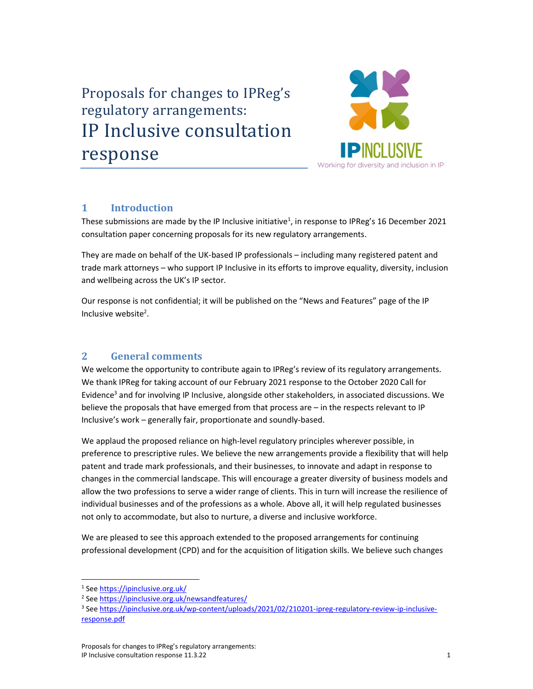# Proposals for changes to IPReg's regulatory arrangements: Proposals for changes to IPReg's<br>regulatory arrangements:<br>IP Inclusive consultation response



# 1 Introduction

These submissions are made by the IP Inclusive initiative<sup>1</sup>, in response to IPReg's 16 December 2021 consultation paper concerning proposals for its new regulatory arrangements.

They are made on behalf of the UK-based IP professionals – including many registered patent and trade mark attorneys – who support IP Inclusive in its efforts to improve equality, diversity, inclusion and wellbeing across the UK's IP sector.

Our response is not confidential; it will be published on the "News and Features" page of the IP Inclusive website<sup>2</sup>.

# 2 General comments

We welcome the opportunity to contribute again to IPReg's review of its regulatory arrangements. We thank IPReg for taking account of our February 2021 response to the October 2020 Call for Evidence<sup>3</sup> and for involving IP Inclusive, alongside other stakeholders, in associated discussions. We believe the proposals that have emerged from that process are – in the respects relevant to IP Inclusive's work – generally fair, proportionate and soundly-based.

We applaud the proposed reliance on high-level regulatory principles wherever possible, in preference to prescriptive rules. We believe the new arrangements provide a flexibility that will help patent and trade mark professionals, and their businesses, to innovate and adapt in response to changes in the commercial landscape. This will encourage a greater diversity of business models and allow the two professions to serve a wider range of clients. This in turn will increase the resilience of individual businesses and of the professions as a whole. Above all, it will help regulated businesses not only to accommodate, but also to nurture, a diverse and inclusive workforce.

We are pleased to see this approach extended to the proposed arrangements for continuing professional development (CPD) and for the acquisition of litigation skills. We believe such changes

<sup>&</sup>lt;sup>1</sup> See https://ipinclusive.org.uk/

<sup>&</sup>lt;sup>2</sup> See https://ipinclusive.org.uk/newsandfeatures/

<sup>&</sup>lt;sup>3</sup> See https://ipinclusive.org.uk/wp-content/uploads/2021/02/210201-ipreg-regulatory-review-ip-inclusiveresponse.pdf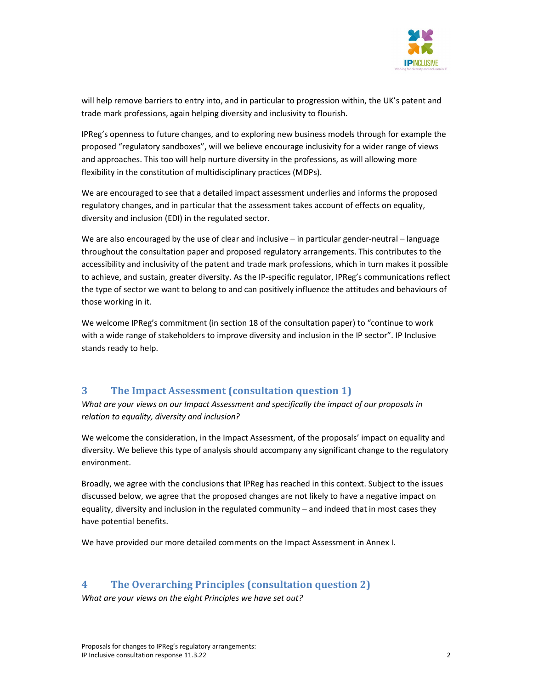

will help remove barriers to entry into, and in particular to progression within, the UK's patent and trade mark professions, again helping diversity and inclusivity to flourish.

IPReg's openness to future changes, and to exploring new business models through for example the proposed "regulatory sandboxes", will we believe encourage inclusivity for a wider range of views and approaches. This too will help nurture diversity in the professions, as will allowing more flexibility in the constitution of multidisciplinary practices (MDPs).

We are encouraged to see that a detailed impact assessment underlies and informs the proposed regulatory changes, and in particular that the assessment takes account of effects on equality, diversity and inclusion (EDI) in the regulated sector.

We are also encouraged by the use of clear and inclusive  $-$  in particular gender-neutral  $-$  language throughout the consultation paper and proposed regulatory arrangements. This contributes to the accessibility and inclusivity of the patent and trade mark professions, which in turn makes it possible to achieve, and sustain, greater diversity. As the IP-specific regulator, IPReg's communications reflect the type of sector we want to belong to and can positively influence the attitudes and behaviours of those working in it.

We welcome IPReg's commitment (in section 18 of the consultation paper) to "continue to work with a wide range of stakeholders to improve diversity and inclusion in the IP sector". IP Inclusive stands ready to help.

# 3 The Impact Assessment (consultation question 1)

What are your views on our Impact Assessment and specifically the impact of our proposals in relation to equality, diversity and inclusion?

We welcome the consideration, in the Impact Assessment, of the proposals' impact on equality and diversity. We believe this type of analysis should accompany any significant change to the regulatory environment.

Broadly, we agree with the conclusions that IPReg has reached in this context. Subject to the issues discussed below, we agree that the proposed changes are not likely to have a negative impact on equality, diversity and inclusion in the regulated community – and indeed that in most cases they have potential benefits.

We have provided our more detailed comments on the Impact Assessment in Annex I.

# 4 The Overarching Principles (consultation question 2)

What are your views on the eight Principles we have set out?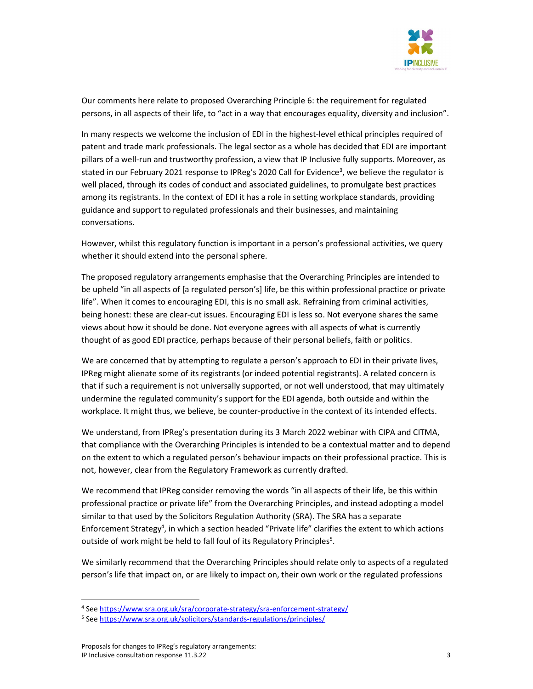

Our comments here relate to proposed Overarching Principle 6: the requirement for regulated persons, in all aspects of their life, to "act in a way that encourages equality, diversity and inclusion".

In many respects we welcome the inclusion of EDI in the highest-level ethical principles required of patent and trade mark professionals. The legal sector as a whole has decided that EDI are important pillars of a well-run and trustworthy profession, a view that IP Inclusive fully supports. Moreover, as stated in our February 2021 response to IPReg's 2020 Call for Evidence<sup>3</sup>, we believe the regulator is well placed, through its codes of conduct and associated guidelines, to promulgate best practices among its registrants. In the context of EDI it has a role in setting workplace standards, providing guidance and support to regulated professionals and their businesses, and maintaining conversations.

However, whilst this regulatory function is important in a person's professional activities, we query whether it should extend into the personal sphere.

The proposed regulatory arrangements emphasise that the Overarching Principles are intended to be upheld "in all aspects of [a regulated person's] life, be this within professional practice or private life". When it comes to encouraging EDI, this is no small ask. Refraining from criminal activities, being honest: these are clear-cut issues. Encouraging EDI is less so. Not everyone shares the same views about how it should be done. Not everyone agrees with all aspects of what is currently thought of as good EDI practice, perhaps because of their personal beliefs, faith or politics.

We are concerned that by attempting to regulate a person's approach to EDI in their private lives, IPReg might alienate some of its registrants (or indeed potential registrants). A related concern is that if such a requirement is not universally supported, or not well understood, that may ultimately undermine the regulated community's support for the EDI agenda, both outside and within the workplace. It might thus, we believe, be counter-productive in the context of its intended effects.

We understand, from IPReg's presentation during its 3 March 2022 webinar with CIPA and CITMA, that compliance with the Overarching Principles is intended to be a contextual matter and to depend on the extent to which a regulated person's behaviour impacts on their professional practice. This is not, however, clear from the Regulatory Framework as currently drafted.

We recommend that IPReg consider removing the words "in all aspects of their life, be this within professional practice or private life" from the Overarching Principles, and instead adopting a model similar to that used by the Solicitors Regulation Authority (SRA). The SRA has a separate Enforcement Strategy<sup>4</sup>, in which a section headed "Private life" clarifies the extent to which actions outside of work might be held to fall foul of its Regulatory Principles<sup>5</sup>.

We similarly recommend that the Overarching Principles should relate only to aspects of a regulated person's life that impact on, or are likely to impact on, their own work or the regulated professions

<sup>4</sup> See https://www.sra.org.uk/sra/corporate-strategy/sra-enforcement-strategy/

<sup>&</sup>lt;sup>5</sup> See https://www.sra.org.uk/solicitors/standards-regulations/principles/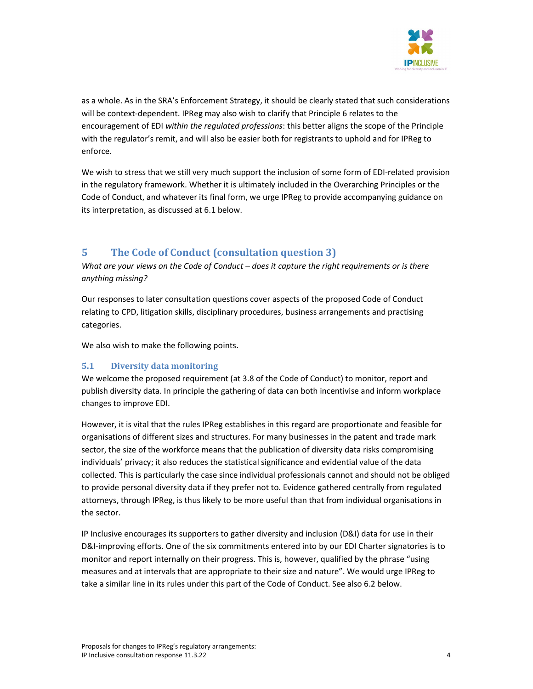

as a whole. As in the SRA's Enforcement Strategy, it should be clearly stated that such considerations will be context-dependent. IPReg may also wish to clarify that Principle 6 relates to the encouragement of EDI within the regulated professions: this better aligns the scope of the Principle with the regulator's remit, and will also be easier both for registrants to uphold and for IPReg to enforce.

We wish to stress that we still very much support the inclusion of some form of EDI-related provision in the regulatory framework. Whether it is ultimately included in the Overarching Principles or the Code of Conduct, and whatever its final form, we urge IPReg to provide accompanying guidance on its interpretation, as discussed at 6.1 below.

# 5 The Code of Conduct (consultation question 3)

What are your views on the Code of Conduct – does it capture the right requirements or is there anything missing?

Our responses to later consultation questions cover aspects of the proposed Code of Conduct relating to CPD, litigation skills, disciplinary procedures, business arrangements and practising categories.

We also wish to make the following points.

## 5.1 Diversity data monitoring

We welcome the proposed requirement (at 3.8 of the Code of Conduct) to monitor, report and publish diversity data. In principle the gathering of data can both incentivise and inform workplace changes to improve EDI.

However, it is vital that the rules IPReg establishes in this regard are proportionate and feasible for organisations of different sizes and structures. For many businesses in the patent and trade mark sector, the size of the workforce means that the publication of diversity data risks compromising individuals' privacy; it also reduces the statistical significance and evidential value of the data collected. This is particularly the case since individual professionals cannot and should not be obliged to provide personal diversity data if they prefer not to. Evidence gathered centrally from regulated attorneys, through IPReg, is thus likely to be more useful than that from individual organisations in the sector.

IP Inclusive encourages its supporters to gather diversity and inclusion (D&I) data for use in their D&I-improving efforts. One of the six commitments entered into by our EDI Charter signatories is to monitor and report internally on their progress. This is, however, qualified by the phrase "using measures and at intervals that are appropriate to their size and nature". We would urge IPReg to take a similar line in its rules under this part of the Code of Conduct. See also 6.2 below.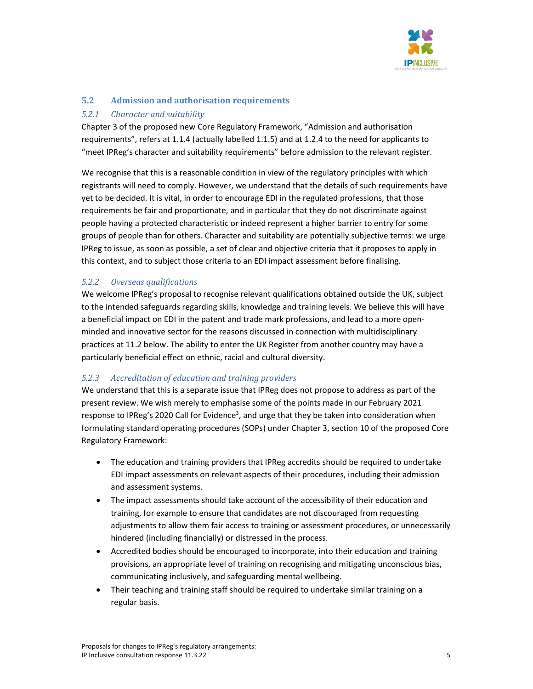

# 5.2 Admission and authorisation requirements

## 5.2.1 Character and suitability

Chapter 3 of the proposed new Core Regulatory Framework, "Admission and authorisation requirements", refers at 1.1.4 (actually labelled 1.1.5) and at 1.2.4 to the need for applicants to "meet IPReg's character and suitability requirements" before admission to the relevant register.

We recognise that this is a reasonable condition in view of the regulatory principles with which registrants will need to comply. However, we understand that the details of such requirements have yet to be decided. It is vital, in order to encourage EDI in the regulated professions, that those requirements be fair and proportionate, and in particular that they do not discriminate against people having a protected characteristic or indeed represent a higher barrier to entry for some groups of people than for others. Character and suitability are potentially subjective terms: we urge IPReg to issue, as soon as possible, a set of clear and objective criteria that it proposes to apply in this context, and to subject those criteria to an EDI impact assessment before finalising.

# 5.2.2 Overseas qualifications

We welcome IPReg's proposal to recognise relevant qualifications obtained outside the UK, subject to the intended safeguards regarding skills, knowledge and training levels. We believe this will have a beneficial impact on EDI in the patent and trade mark professions, and lead to a more openminded and innovative sector for the reasons discussed in connection with multidisciplinary practices at 11.2 below. The ability to enter the UK Register from another country may have a particularly beneficial effect on ethnic, racial and cultural diversity.

## 5.2.3 Accreditation of education and training providers

We understand that this is a separate issue that IPReg does not propose to address as part of the present review. We wish merely to emphasise some of the points made in our February 2021 response to IPReg's 2020 Call for Evidence<sup>3</sup>, and urge that they be taken into consideration when formulating standard operating procedures (SOPs) under Chapter 3, section 10 of the proposed Core Regulatory Framework:

- The education and training providers that IPReg accredits should be required to undertake EDI impact assessments on relevant aspects of their procedures, including their admission and assessment systems.
- The impact assessments should take account of the accessibility of their education and training, for example to ensure that candidates are not discouraged from requesting adjustments to allow them fair access to training or assessment procedures, or unnecessarily hindered (including financially) or distressed in the process.
- Accredited bodies should be encouraged to incorporate, into their education and training provisions, an appropriate level of training on recognising and mitigating unconscious bias, communicating inclusively, and safeguarding mental wellbeing.
- Their teaching and training staff should be required to undertake similar training on a regular basis.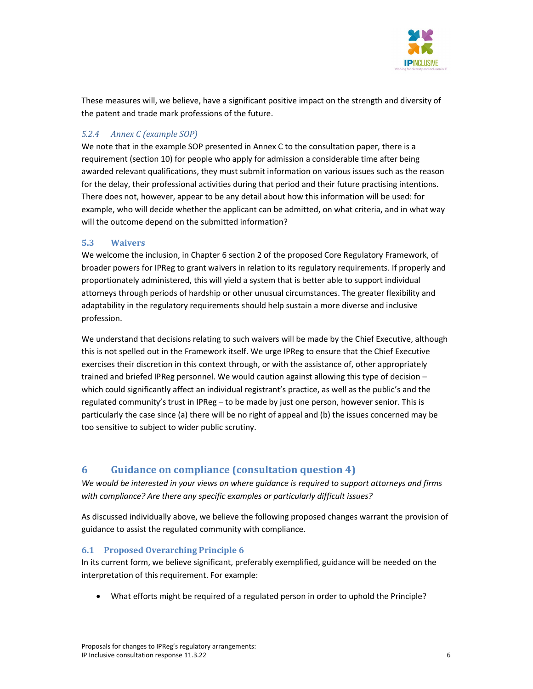

These measures will, we believe, have a significant positive impact on the strength and diversity of the patent and trade mark professions of the future.

# 5.2.4 Annex C (example SOP)

We note that in the example SOP presented in Annex C to the consultation paper, there is a requirement (section 10) for people who apply for admission a considerable time after being awarded relevant qualifications, they must submit information on various issues such as the reason for the delay, their professional activities during that period and their future practising intentions. There does not, however, appear to be any detail about how this information will be used: for example, who will decide whether the applicant can be admitted, on what criteria, and in what way will the outcome depend on the submitted information?

## 5.3 Waivers

We welcome the inclusion, in Chapter 6 section 2 of the proposed Core Regulatory Framework, of broader powers for IPReg to grant waivers in relation to its regulatory requirements. If properly and proportionately administered, this will yield a system that is better able to support individual attorneys through periods of hardship or other unusual circumstances. The greater flexibility and adaptability in the regulatory requirements should help sustain a more diverse and inclusive profession.

We understand that decisions relating to such waivers will be made by the Chief Executive, although this is not spelled out in the Framework itself. We urge IPReg to ensure that the Chief Executive exercises their discretion in this context through, or with the assistance of, other appropriately trained and briefed IPReg personnel. We would caution against allowing this type of decision – which could significantly affect an individual registrant's practice, as well as the public's and the regulated community's trust in IPReg – to be made by just one person, however senior. This is particularly the case since (a) there will be no right of appeal and (b) the issues concerned may be too sensitive to subject to wider public scrutiny.

# 6 Guidance on compliance (consultation question 4)

We would be interested in your views on where guidance is required to support attorneys and firms with compliance? Are there any specific examples or particularly difficult issues?

As discussed individually above, we believe the following proposed changes warrant the provision of guidance to assist the regulated community with compliance.

## 6.1 Proposed Overarching Principle 6

In its current form, we believe significant, preferably exemplified, guidance will be needed on the interpretation of this requirement. For example:

What efforts might be required of a regulated person in order to uphold the Principle?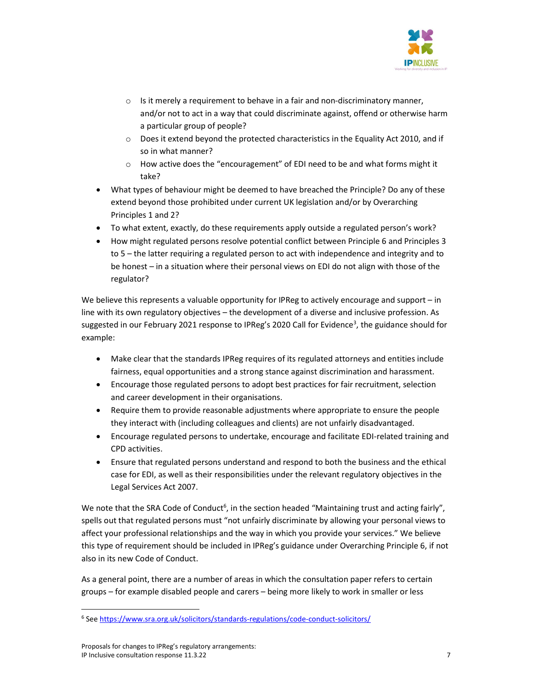

- $\circ$  Is it merely a requirement to behave in a fair and non-discriminatory manner, and/or not to act in a way that could discriminate against, offend or otherwise harm a particular group of people?
- o Does it extend beyond the protected characteristics in the Equality Act 2010, and if so in what manner?
- $\circ$  How active does the "encouragement" of EDI need to be and what forms might it take?
- What types of behaviour might be deemed to have breached the Principle? Do any of these extend beyond those prohibited under current UK legislation and/or by Overarching Principles 1 and 2?
- To what extent, exactly, do these requirements apply outside a regulated person's work?
- How might regulated persons resolve potential conflict between Principle 6 and Principles 3 to 5 – the latter requiring a regulated person to act with independence and integrity and to be honest – in a situation where their personal views on EDI do not align with those of the regulator?

We believe this represents a valuable opportunity for IPReg to actively encourage and support  $-$  in line with its own regulatory objectives – the development of a diverse and inclusive profession. As suggested in our February 2021 response to IPReg's 2020 Call for Evidence<sup>3</sup>, the guidance should for example:

- Make clear that the standards IPReg requires of its regulated attorneys and entities include fairness, equal opportunities and a strong stance against discrimination and harassment.
- Encourage those regulated persons to adopt best practices for fair recruitment, selection and career development in their organisations.
- Require them to provide reasonable adjustments where appropriate to ensure the people they interact with (including colleagues and clients) are not unfairly disadvantaged.
- Encourage regulated persons to undertake, encourage and facilitate EDI-related training and CPD activities.
- Ensure that regulated persons understand and respond to both the business and the ethical case for EDI, as well as their responsibilities under the relevant regulatory objectives in the Legal Services Act 2007.

We note that the SRA Code of Conduct<sup>6</sup>, in the section headed "Maintaining trust and acting fairly", spells out that regulated persons must "not unfairly discriminate by allowing your personal views to affect your professional relationships and the way in which you provide your services." We believe this type of requirement should be included in IPReg's guidance under Overarching Principle 6, if not also in its new Code of Conduct.

As a general point, there are a number of areas in which the consultation paper refers to certain groups – for example disabled people and carers – being more likely to work in smaller or less

<sup>&</sup>lt;sup>6</sup> See https://www.sra.org.uk/solicitors/standards-regulations/code-conduct-solicitors/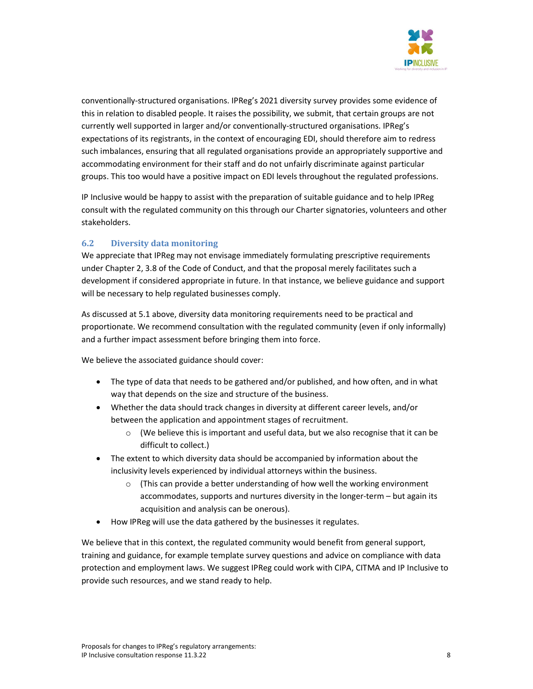

conventionally-structured organisations. IPReg's 2021 diversity survey provides some evidence of this in relation to disabled people. It raises the possibility, we submit, that certain groups are not currently well supported in larger and/or conventionally-structured organisations. IPReg's expectations of its registrants, in the context of encouraging EDI, should therefore aim to redress such imbalances, ensuring that all regulated organisations provide an appropriately supportive and accommodating environment for their staff and do not unfairly discriminate against particular groups. This too would have a positive impact on EDI levels throughout the regulated professions.

IP Inclusive would be happy to assist with the preparation of suitable guidance and to help IPReg consult with the regulated community on this through our Charter signatories, volunteers and other stakeholders.

## 6.2 Diversity data monitoring

We appreciate that IPReg may not envisage immediately formulating prescriptive requirements under Chapter 2, 3.8 of the Code of Conduct, and that the proposal merely facilitates such a development if considered appropriate in future. In that instance, we believe guidance and support will be necessary to help regulated businesses comply.

As discussed at 5.1 above, diversity data monitoring requirements need to be practical and proportionate. We recommend consultation with the regulated community (even if only informally) and a further impact assessment before bringing them into force.

We believe the associated guidance should cover:

- The type of data that needs to be gathered and/or published, and how often, and in what way that depends on the size and structure of the business.
- Whether the data should track changes in diversity at different career levels, and/or between the application and appointment stages of recruitment.
	- $\circ$  (We believe this is important and useful data, but we also recognise that it can be difficult to collect.)
- The extent to which diversity data should be accompanied by information about the inclusivity levels experienced by individual attorneys within the business.
	- o (This can provide a better understanding of how well the working environment accommodates, supports and nurtures diversity in the longer-term – but again its acquisition and analysis can be onerous).
- How IPReg will use the data gathered by the businesses it regulates.

We believe that in this context, the regulated community would benefit from general support, training and guidance, for example template survey questions and advice on compliance with data protection and employment laws. We suggest IPReg could work with CIPA, CITMA and IP Inclusive to provide such resources, and we stand ready to help.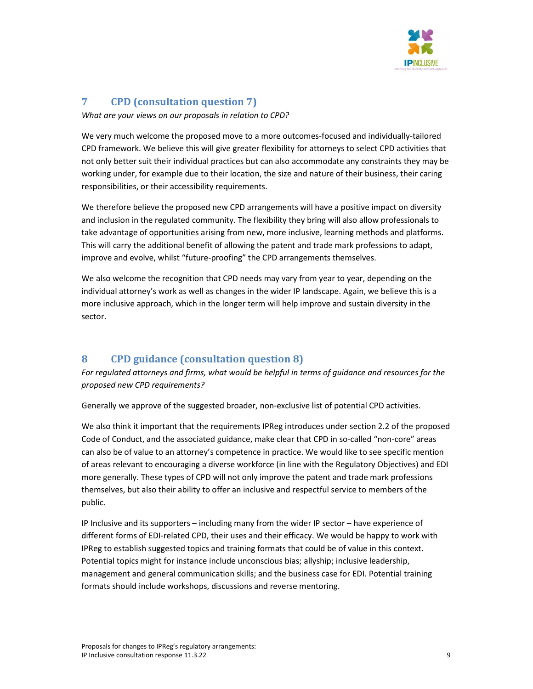

# 7 CPD (consultation question 7)

What are your views on our proposals in relation to CPD?

We very much welcome the proposed move to a more outcomes-focused and individually-tailored CPD framework. We believe this will give greater flexibility for attorneys to select CPD activities that not only better suit their individual practices but can also accommodate any constraints they may be working under, for example due to their location, the size and nature of their business, their caring responsibilities, or their accessibility requirements.

We therefore believe the proposed new CPD arrangements will have a positive impact on diversity and inclusion in the regulated community. The flexibility they bring will also allow professionals to take advantage of opportunities arising from new, more inclusive, learning methods and platforms. This will carry the additional benefit of allowing the patent and trade mark professions to adapt, improve and evolve, whilst "future-proofing" the CPD arrangements themselves.

We also welcome the recognition that CPD needs may vary from year to year, depending on the individual attorney's work as well as changes in the wider IP landscape. Again, we believe this is a more inclusive approach, which in the longer term will help improve and sustain diversity in the sector.

# 8 CPD guidance (consultation question 8)

For regulated attorneys and firms, what would be helpful in terms of guidance and resources for the proposed new CPD requirements?

Generally we approve of the suggested broader, non-exclusive list of potential CPD activities.

We also think it important that the requirements IPReg introduces under section 2.2 of the proposed Code of Conduct, and the associated guidance, make clear that CPD in so-called "non-core" areas can also be of value to an attorney's competence in practice. We would like to see specific mention of areas relevant to encouraging a diverse workforce (in line with the Regulatory Objectives) and EDI more generally. These types of CPD will not only improve the patent and trade mark professions themselves, but also their ability to offer an inclusive and respectful service to members of the public.

IP Inclusive and its supporters – including many from the wider IP sector – have experience of different forms of EDI-related CPD, their uses and their efficacy. We would be happy to work with IPReg to establish suggested topics and training formats that could be of value in this context. Potential topics might for instance include unconscious bias; allyship; inclusive leadership, management and general communication skills; and the business case for EDI. Potential training formats should include workshops, discussions and reverse mentoring.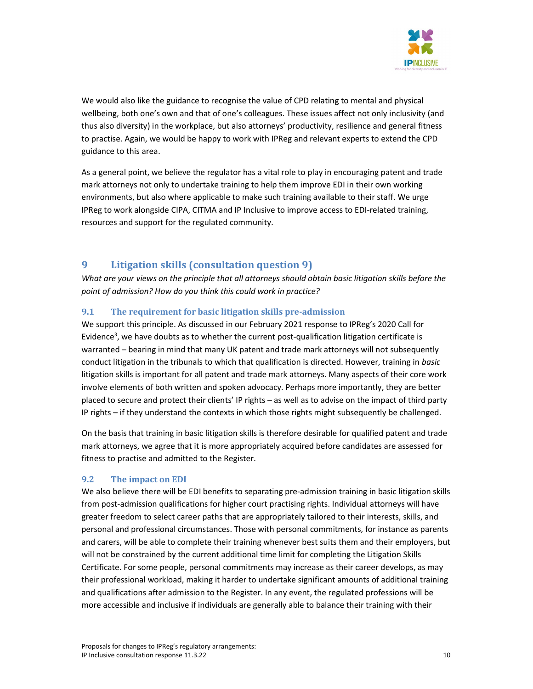

We would also like the guidance to recognise the value of CPD relating to mental and physical wellbeing, both one's own and that of one's colleagues. These issues affect not only inclusivity (and thus also diversity) in the workplace, but also attorneys' productivity, resilience and general fitness to practise. Again, we would be happy to work with IPReg and relevant experts to extend the CPD guidance to this area.

As a general point, we believe the regulator has a vital role to play in encouraging patent and trade mark attorneys not only to undertake training to help them improve EDI in their own working environments, but also where applicable to make such training available to their staff. We urge IPReg to work alongside CIPA, CITMA and IP Inclusive to improve access to EDI-related training, resources and support for the regulated community.

# 9 Litigation skills (consultation question 9)

What are your views on the principle that all attorneys should obtain basic litigation skills before the point of admission? How do you think this could work in practice?

# 9.1 The requirement for basic litigation skills pre-admission

We support this principle. As discussed in our February 2021 response to IPReg's 2020 Call for Evidence<sup>3</sup>, we have doubts as to whether the current post-qualification litigation certificate is warranted – bearing in mind that many UK patent and trade mark attorneys will not subsequently conduct litigation in the tribunals to which that qualification is directed. However, training in basic litigation skills is important for all patent and trade mark attorneys. Many aspects of their core work involve elements of both written and spoken advocacy. Perhaps more importantly, they are better placed to secure and protect their clients' IP rights – as well as to advise on the impact of third party IP rights – if they understand the contexts in which those rights might subsequently be challenged.

On the basis that training in basic litigation skills is therefore desirable for qualified patent and trade mark attorneys, we agree that it is more appropriately acquired before candidates are assessed for fitness to practise and admitted to the Register.

# 9.2 The impact on EDI

We also believe there will be EDI benefits to separating pre-admission training in basic litigation skills from post-admission qualifications for higher court practising rights. Individual attorneys will have greater freedom to select career paths that are appropriately tailored to their interests, skills, and personal and professional circumstances. Those with personal commitments, for instance as parents and carers, will be able to complete their training whenever best suits them and their employers, but will not be constrained by the current additional time limit for completing the Litigation Skills Certificate. For some people, personal commitments may increase as their career develops, as may their professional workload, making it harder to undertake significant amounts of additional training and qualifications after admission to the Register. In any event, the regulated professions will be more accessible and inclusive if individuals are generally able to balance their training with their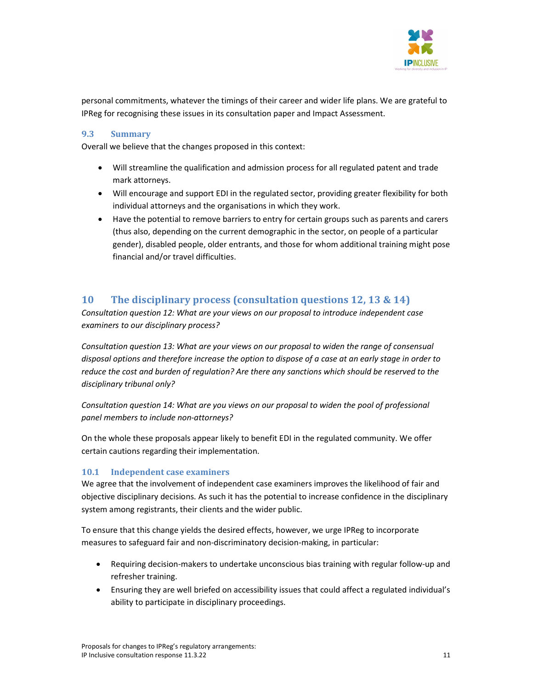

personal commitments, whatever the timings of their career and wider life plans. We are grateful to IPReg for recognising these issues in its consultation paper and Impact Assessment.

## 9.3 Summary

Overall we believe that the changes proposed in this context:

- Will streamline the qualification and admission process for all regulated patent and trade mark attorneys.
- Will encourage and support EDI in the regulated sector, providing greater flexibility for both individual attorneys and the organisations in which they work.
- Have the potential to remove barriers to entry for certain groups such as parents and carers (thus also, depending on the current demographic in the sector, on people of a particular gender), disabled people, older entrants, and those for whom additional training might pose financial and/or travel difficulties.

# 10 The disciplinary process (consultation questions 12, 13 & 14)

Consultation question 12: What are your views on our proposal to introduce independent case examiners to our disciplinary process?

Consultation question 13: What are your views on our proposal to widen the range of consensual disposal options and therefore increase the option to dispose of a case at an early stage in order to reduce the cost and burden of regulation? Are there any sanctions which should be reserved to the disciplinary tribunal only?

Consultation question 14: What are you views on our proposal to widen the pool of professional panel members to include non-attorneys?

On the whole these proposals appear likely to benefit EDI in the regulated community. We offer certain cautions regarding their implementation.

## 10.1 Independent case examiners

We agree that the involvement of independent case examiners improves the likelihood of fair and objective disciplinary decisions. As such it has the potential to increase confidence in the disciplinary system among registrants, their clients and the wider public.

To ensure that this change yields the desired effects, however, we urge IPReg to incorporate measures to safeguard fair and non-discriminatory decision-making, in particular:

- Requiring decision-makers to undertake unconscious bias training with regular follow-up and refresher training.
- Ensuring they are well briefed on accessibility issues that could affect a regulated individual's ability to participate in disciplinary proceedings.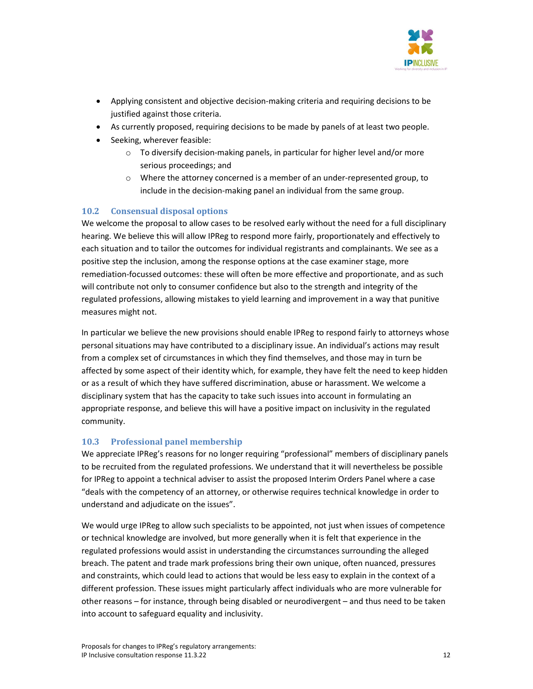

- Applying consistent and objective decision-making criteria and requiring decisions to be justified against those criteria.
- As currently proposed, requiring decisions to be made by panels of at least two people.
- Seeking, wherever feasible:
	- o To diversify decision-making panels, in particular for higher level and/or more serious proceedings; and
	- $\circ$  Where the attorney concerned is a member of an under-represented group, to include in the decision-making panel an individual from the same group.

# 10.2 Consensual disposal options

We welcome the proposal to allow cases to be resolved early without the need for a full disciplinary hearing. We believe this will allow IPReg to respond more fairly, proportionately and effectively to each situation and to tailor the outcomes for individual registrants and complainants. We see as a positive step the inclusion, among the response options at the case examiner stage, more remediation-focussed outcomes: these will often be more effective and proportionate, and as such will contribute not only to consumer confidence but also to the strength and integrity of the regulated professions, allowing mistakes to yield learning and improvement in a way that punitive measures might not.

In particular we believe the new provisions should enable IPReg to respond fairly to attorneys whose personal situations may have contributed to a disciplinary issue. An individual's actions may result from a complex set of circumstances in which they find themselves, and those may in turn be affected by some aspect of their identity which, for example, they have felt the need to keep hidden or as a result of which they have suffered discrimination, abuse or harassment. We welcome a disciplinary system that has the capacity to take such issues into account in formulating an appropriate response, and believe this will have a positive impact on inclusivity in the regulated community.

# 10.3 Professional panel membership

We appreciate IPReg's reasons for no longer requiring "professional" members of disciplinary panels to be recruited from the regulated professions. We understand that it will nevertheless be possible for IPReg to appoint a technical adviser to assist the proposed Interim Orders Panel where a case "deals with the competency of an attorney, or otherwise requires technical knowledge in order to understand and adjudicate on the issues".

We would urge IPReg to allow such specialists to be appointed, not just when issues of competence or technical knowledge are involved, but more generally when it is felt that experience in the regulated professions would assist in understanding the circumstances surrounding the alleged breach. The patent and trade mark professions bring their own unique, often nuanced, pressures and constraints, which could lead to actions that would be less easy to explain in the context of a different profession. These issues might particularly affect individuals who are more vulnerable for other reasons – for instance, through being disabled or neurodivergent – and thus need to be taken into account to safeguard equality and inclusivity.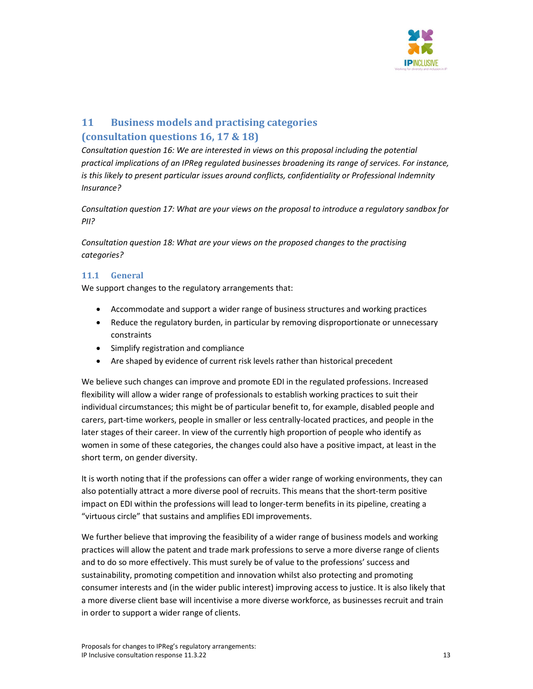

# 11 Business models and practising categories (consultation questions 16, 17 & 18)

Consultation question 16: We are interested in views on this proposal including the potential practical implications of an IPReg regulated businesses broadening its range of services. For instance, is this likely to present particular issues around conflicts, confidentiality or Professional Indemnity Insurance?

Consultation question 17: What are your views on the proposal to introduce a regulatory sandbox for PII?

Consultation question 18: What are your views on the proposed changes to the practising categories?

# 11.1 General

We support changes to the regulatory arrangements that:

- Accommodate and support a wider range of business structures and working practices
- Reduce the regulatory burden, in particular by removing disproportionate or unnecessary constraints
- Simplify registration and compliance
- Are shaped by evidence of current risk levels rather than historical precedent

We believe such changes can improve and promote EDI in the regulated professions. Increased flexibility will allow a wider range of professionals to establish working practices to suit their individual circumstances; this might be of particular benefit to, for example, disabled people and carers, part-time workers, people in smaller or less centrally-located practices, and people in the later stages of their career. In view of the currently high proportion of people who identify as women in some of these categories, the changes could also have a positive impact, at least in the short term, on gender diversity.

It is worth noting that if the professions can offer a wider range of working environments, they can also potentially attract a more diverse pool of recruits. This means that the short-term positive impact on EDI within the professions will lead to longer-term benefits in its pipeline, creating a "virtuous circle" that sustains and amplifies EDI improvements.

We further believe that improving the feasibility of a wider range of business models and working practices will allow the patent and trade mark professions to serve a more diverse range of clients and to do so more effectively. This must surely be of value to the professions' success and sustainability, promoting competition and innovation whilst also protecting and promoting consumer interests and (in the wider public interest) improving access to justice. It is also likely that a more diverse client base will incentivise a more diverse workforce, as businesses recruit and train in order to support a wider range of clients.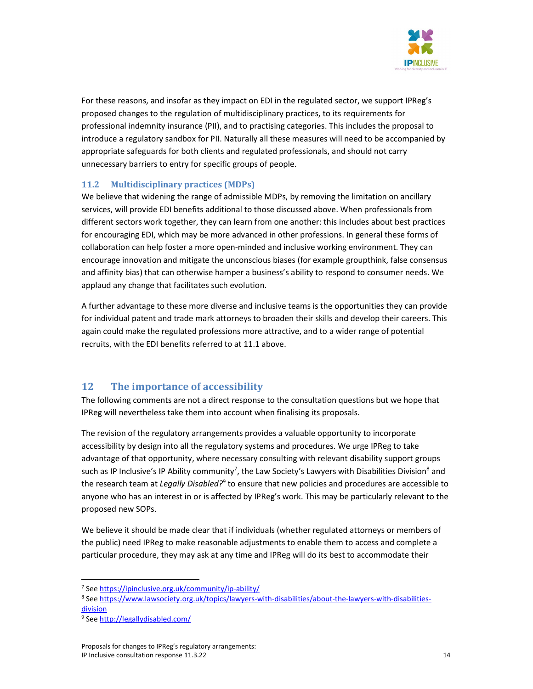

For these reasons, and insofar as they impact on EDI in the regulated sector, we support IPReg's proposed changes to the regulation of multidisciplinary practices, to its requirements for professional indemnity insurance (PII), and to practising categories. This includes the proposal to introduce a regulatory sandbox for PII. Naturally all these measures will need to be accompanied by appropriate safeguards for both clients and regulated professionals, and should not carry unnecessary barriers to entry for specific groups of people.

# 11.2 Multidisciplinary practices (MDPs)

We believe that widening the range of admissible MDPs, by removing the limitation on ancillary services, will provide EDI benefits additional to those discussed above. When professionals from different sectors work together, they can learn from one another: this includes about best practices for encouraging EDI, which may be more advanced in other professions. In general these forms of collaboration can help foster a more open-minded and inclusive working environment. They can encourage innovation and mitigate the unconscious biases (for example groupthink, false consensus and affinity bias) that can otherwise hamper a business's ability to respond to consumer needs. We applaud any change that facilitates such evolution.

A further advantage to these more diverse and inclusive teams is the opportunities they can provide for individual patent and trade mark attorneys to broaden their skills and develop their careers. This again could make the regulated professions more attractive, and to a wider range of potential recruits, with the EDI benefits referred to at 11.1 above.

# 12 The importance of accessibility

The following comments are not a direct response to the consultation questions but we hope that IPReg will nevertheless take them into account when finalising its proposals.

The revision of the regulatory arrangements provides a valuable opportunity to incorporate accessibility by design into all the regulatory systems and procedures. We urge IPReg to take advantage of that opportunity, where necessary consulting with relevant disability support groups such as IP Inclusive's IP Ability community<sup>7</sup>, the Law Society's Lawyers with Disabilities Division<sup>8</sup> and the research team at Legally Disabled?<sup>9</sup> to ensure that new policies and procedures are accessible to anyone who has an interest in or is affected by IPReg's work. This may be particularly relevant to the proposed new SOPs.

We believe it should be made clear that if individuals (whether regulated attorneys or members of the public) need IPReg to make reasonable adjustments to enable them to access and complete a particular procedure, they may ask at any time and IPReg will do its best to accommodate their

<sup>&</sup>lt;sup>7</sup> See https://ipinclusive.org.uk/community/ip-ability/

<sup>8</sup> See https://www.lawsociety.org.uk/topics/lawyers-with-disabilities/about-the-lawyers-with-disabilitiesdivision

<sup>&</sup>lt;sup>9</sup> See http://legallydisabled.com/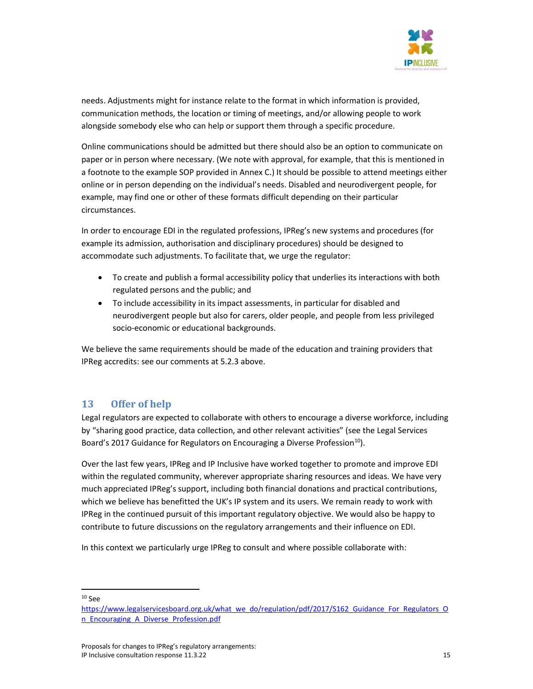

needs. Adjustments might for instance relate to the format in which information is provided, communication methods, the location or timing of meetings, and/or allowing people to work alongside somebody else who can help or support them through a specific procedure.

Online communications should be admitted but there should also be an option to communicate on paper or in person where necessary. (We note with approval, for example, that this is mentioned in a footnote to the example SOP provided in Annex C.) It should be possible to attend meetings either online or in person depending on the individual's needs. Disabled and neurodivergent people, for example, may find one or other of these formats difficult depending on their particular circumstances.

In order to encourage EDI in the regulated professions, IPReg's new systems and procedures (for example its admission, authorisation and disciplinary procedures) should be designed to accommodate such adjustments. To facilitate that, we urge the regulator:

- To create and publish a formal accessibility policy that underlies its interactions with both regulated persons and the public; and
- To include accessibility in its impact assessments, in particular for disabled and neurodivergent people but also for carers, older people, and people from less privileged socio-economic or educational backgrounds.

We believe the same requirements should be made of the education and training providers that IPReg accredits: see our comments at 5.2.3 above.

# 13 Offer of help

Legal regulators are expected to collaborate with others to encourage a diverse workforce, including by "sharing good practice, data collection, and other relevant activities" (see the Legal Services Board's 2017 Guidance for Regulators on Encouraging a Diverse Profession<sup>10</sup>).

Over the last few years, IPReg and IP Inclusive have worked together to promote and improve EDI within the regulated community, wherever appropriate sharing resources and ideas. We have very much appreciated IPReg's support, including both financial donations and practical contributions, which we believe has benefitted the UK's IP system and its users. We remain ready to work with IPReg in the continued pursuit of this important regulatory objective. We would also be happy to contribute to future discussions on the regulatory arrangements and their influence on EDI.

In this context we particularly urge IPReg to consult and where possible collaborate with:

<sup>10</sup> See

https://www.legalservicesboard.org.uk/what\_we\_do/regulation/pdf/2017/S162\_Guidance\_For\_Regulators\_O n\_Encouraging\_A\_Diverse\_Profession.pdf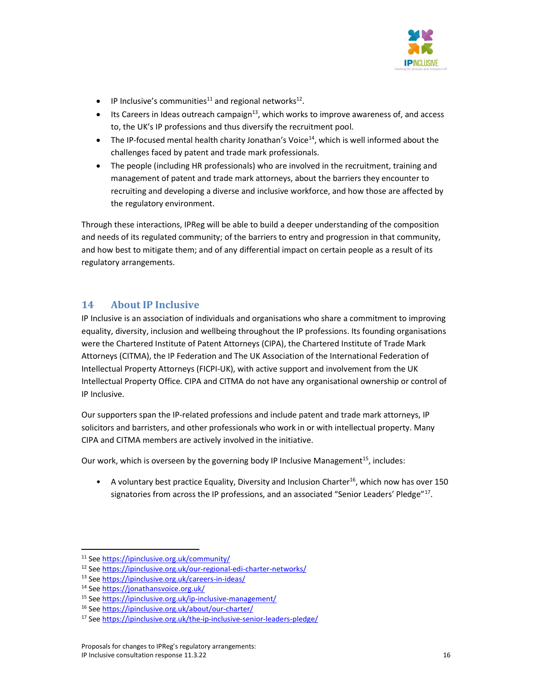

- $\bullet$  IP Inclusive's communities<sup>11</sup> and regional networks<sup>12</sup>.
- **Its Careers in Ideas outreach campaign**<sup>13</sup>, which works to improve awareness of, and access to, the UK's IP professions and thus diversify the recruitment pool.
- $\bullet$  The IP-focused mental health charity Jonathan's Voice<sup>14</sup>, which is well informed about the challenges faced by patent and trade mark professionals.
- The people (including HR professionals) who are involved in the recruitment, training and management of patent and trade mark attorneys, about the barriers they encounter to recruiting and developing a diverse and inclusive workforce, and how those are affected by the regulatory environment.

Through these interactions, IPReg will be able to build a deeper understanding of the composition and needs of its regulated community; of the barriers to entry and progression in that community, and how best to mitigate them; and of any differential impact on certain people as a result of its regulatory arrangements.

# 14 About IP Inclusive

IP Inclusive is an association of individuals and organisations who share a commitment to improving equality, diversity, inclusion and wellbeing throughout the IP professions. Its founding organisations were the Chartered Institute of Patent Attorneys (CIPA), the Chartered Institute of Trade Mark Attorneys (CITMA), the IP Federation and The UK Association of the International Federation of Intellectual Property Attorneys (FICPI-UK), with active support and involvement from the UK Intellectual Property Office. CIPA and CITMA do not have any organisational ownership or control of IP Inclusive.

Our supporters span the IP-related professions and include patent and trade mark attorneys, IP solicitors and barristers, and other professionals who work in or with intellectual property. Many CIPA and CITMA members are actively involved in the initiative.

Our work, which is overseen by the governing body IP Inclusive Management<sup>15</sup>, includes:

• A voluntary best practice Equality, Diversity and Inclusion Charter<sup>16</sup>, which now has over 150 signatories from across the IP professions, and an associated "Senior Leaders' Pledge"<sup>17</sup>.

<sup>11</sup> See https://ipinclusive.org.uk/community/

<sup>12</sup> See https://ipinclusive.org.uk/our-regional-edi-charter-networks/

<sup>13</sup> See https://ipinclusive.org.uk/careers-in-ideas/

<sup>14</sup> See https://jonathansvoice.org.uk/

<sup>15</sup> See https://ipinclusive.org.uk/ip-inclusive-management/

<sup>16</sup> See https://ipinclusive.org.uk/about/our-charter/

<sup>17</sup> See https://ipinclusive.org.uk/the-ip-inclusive-senior-leaders-pledge/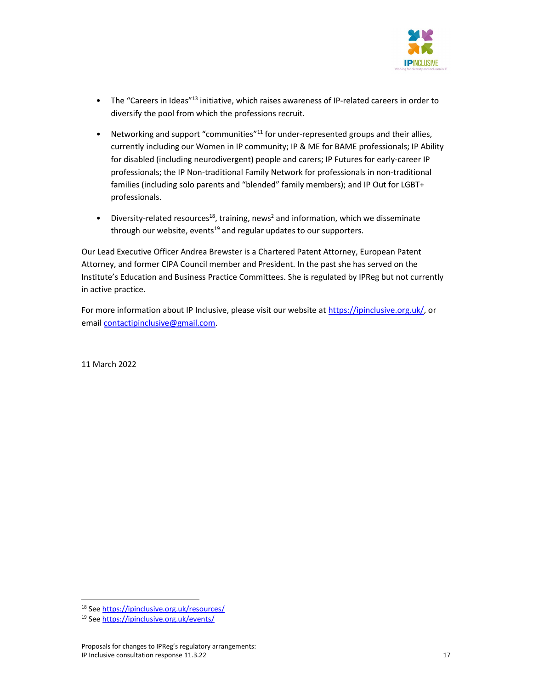

- The "Careers in Ideas"<sup>13</sup> initiative, which raises awareness of IP-related careers in order to diversify the pool from which the professions recruit.
- Networking and support "communities"<sup>11</sup> for under-represented groups and their allies, currently including our Women in IP community; IP & ME for BAME professionals; IP Ability for disabled (including neurodivergent) people and carers; IP Futures for early-career IP professionals; the IP Non-traditional Family Network for professionals in non-traditional families (including solo parents and "blended" family members); and IP Out for LGBT+ professionals.
- Diversity-related resources<sup>18</sup>, training, news<sup>2</sup> and information, which we disseminate through our website, events<sup>19</sup> and regular updates to our supporters.

Our Lead Executive Officer Andrea Brewster is a Chartered Patent Attorney, European Patent Attorney, and former CIPA Council member and President. In the past she has served on the Institute's Education and Business Practice Committees. She is regulated by IPReg but not currently in active practice.

For more information about IP Inclusive, please visit our website at https://ipinclusive.org.uk/, or email contactipinclusive@gmail.com.

11 March 2022

<sup>18</sup> See https://ipinclusive.org.uk/resources/

<sup>19</sup> See https://ipinclusive.org.uk/events/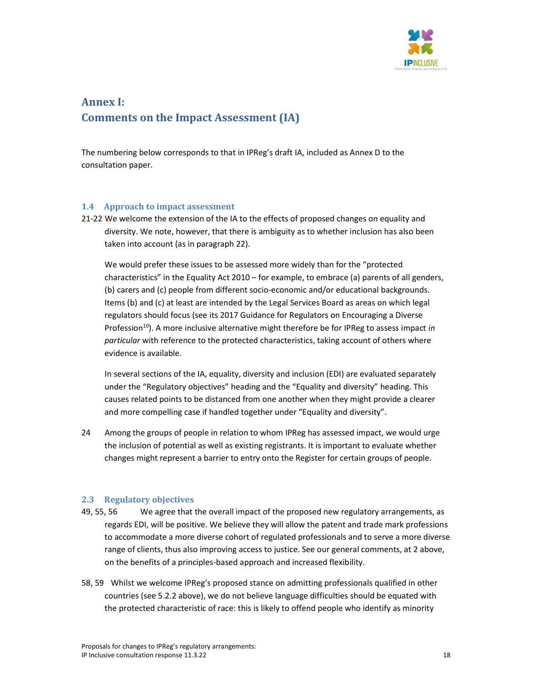

# Annex I: Comments on the Impact Assessment (IA)

The numbering below corresponds to that in IPReg's draft IA, included as Annex D to the consultation paper.

#### 1.4 Approach to impact assessment

21-22 We welcome the extension of the IA to the effects of proposed changes on equality and diversity. We note, however, that there is ambiguity as to whether inclusion has also been taken into account (as in paragraph 22).

 We would prefer these issues to be assessed more widely than for the "protected characteristics" in the Equality Act 2010 – for example, to embrace (a) parents of all genders, (b) carers and (c) people from different socio-economic and/or educational backgrounds. Items (b) and (c) at least are intended by the Legal Services Board as areas on which legal regulators should focus (see its 2017 Guidance for Regulators on Encouraging a Diverse Profession<sup>10</sup>). A more inclusive alternative might therefore be for IPReg to assess impact in particular with reference to the protected characteristics, taking account of others where evidence is available.

In several sections of the IA, equality, diversity and inclusion (EDI) are evaluated separately under the "Regulatory objectives" heading and the "Equality and diversity" heading. This causes related points to be distanced from one another when they might provide a clearer and more compelling case if handled together under "Equality and diversity".

24 Among the groups of people in relation to whom IPReg has assessed impact, we would urge the inclusion of potential as well as existing registrants. It is important to evaluate whether changes might represent a barrier to entry onto the Register for certain groups of people.

#### 2.3 Regulatory objectives

- 49, 55, 56 We agree that the overall impact of the proposed new regulatory arrangements, as regards EDI, will be positive. We believe they will allow the patent and trade mark professions to accommodate a more diverse cohort of regulated professionals and to serve a more diverse range of clients, thus also improving access to justice. See our general comments, at 2 above, on the benefits of a principles-based approach and increased flexibility.
- 58, 59 Whilst we welcome IPReg's proposed stance on admitting professionals qualified in other countries (see 5.2.2 above), we do not believe language difficulties should be equated with the protected characteristic of race: this is likely to offend people who identify as minority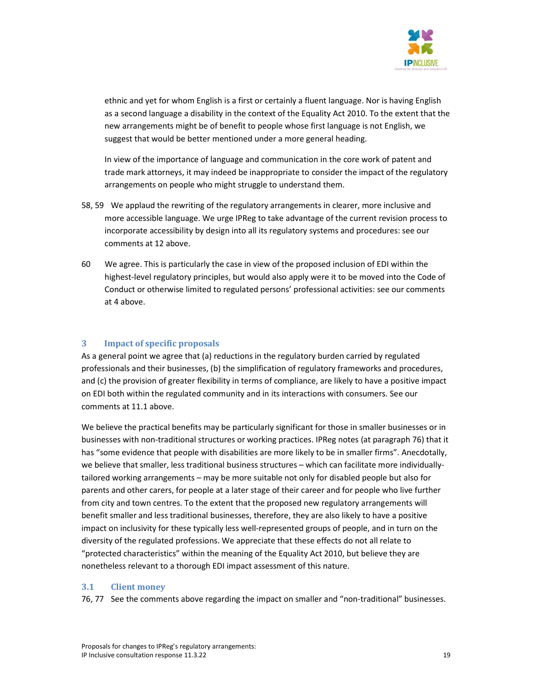

ethnic and yet for whom English is a first or certainly a fluent language. Nor is having English as a second language a disability in the context of the Equality Act 2010. To the extent that the new arrangements might be of benefit to people whose first language is not English, we suggest that would be better mentioned under a more general heading.

In view of the importance of language and communication in the core work of patent and trade mark attorneys, it may indeed be inappropriate to consider the impact of the regulatory arrangements on people who might struggle to understand them.

- 58, 59 We applaud the rewriting of the regulatory arrangements in clearer, more inclusive and more accessible language. We urge IPReg to take advantage of the current revision process to incorporate accessibility by design into all its regulatory systems and procedures: see our comments at 12 above.
- 60 We agree. This is particularly the case in view of the proposed inclusion of EDI within the highest-level regulatory principles, but would also apply were it to be moved into the Code of Conduct or otherwise limited to regulated persons' professional activities: see our comments at 4 above.

#### 3 Impact of specific proposals

As a general point we agree that (a) reductions in the regulatory burden carried by regulated professionals and their businesses, (b) the simplification of regulatory frameworks and procedures, and (c) the provision of greater flexibility in terms of compliance, are likely to have a positive impact on EDI both within the regulated community and in its interactions with consumers. See our comments at 11.1 above.

We believe the practical benefits may be particularly significant for those in smaller businesses or in businesses with non-traditional structures or working practices. IPReg notes (at paragraph 76) that it has "some evidence that people with disabilities are more likely to be in smaller firms". Anecdotally, we believe that smaller, less traditional business structures – which can facilitate more individuallytailored working arrangements – may be more suitable not only for disabled people but also for parents and other carers, for people at a later stage of their career and for people who live further from city and town centres. To the extent that the proposed new regulatory arrangements will benefit smaller and less traditional businesses, therefore, they are also likely to have a positive impact on inclusivity for these typically less well-represented groups of people, and in turn on the diversity of the regulated professions. We appreciate that these effects do not all relate to "protected characteristics" within the meaning of the Equality Act 2010, but believe they are nonetheless relevant to a thorough EDI impact assessment of this nature.

#### 3.1 Client money

76, 77 See the comments above regarding the impact on smaller and "non-traditional" businesses.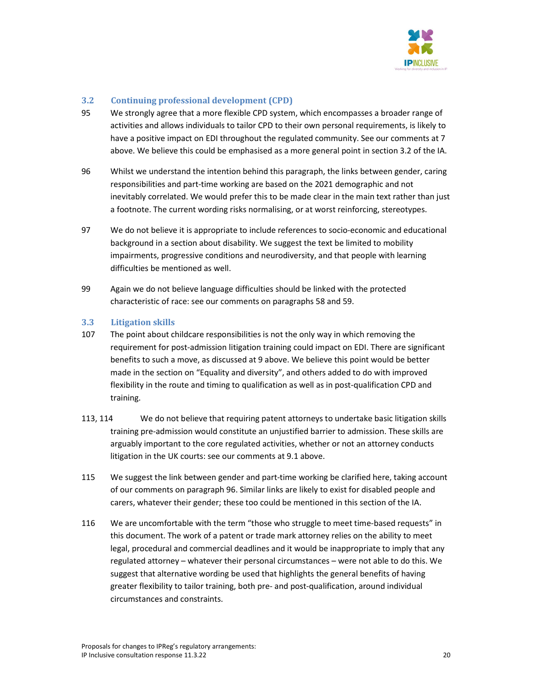

## 3.2 Continuing professional development (CPD)

- 95 We strongly agree that a more flexible CPD system, which encompasses a broader range of activities and allows individuals to tailor CPD to their own personal requirements, is likely to have a positive impact on EDI throughout the regulated community. See our comments at 7 above. We believe this could be emphasised as a more general point in section 3.2 of the IA.
- 96 Whilst we understand the intention behind this paragraph, the links between gender, caring responsibilities and part-time working are based on the 2021 demographic and not inevitably correlated. We would prefer this to be made clear in the main text rather than just a footnote. The current wording risks normalising, or at worst reinforcing, stereotypes.
- 97 We do not believe it is appropriate to include references to socio-economic and educational background in a section about disability. We suggest the text be limited to mobility impairments, progressive conditions and neurodiversity, and that people with learning difficulties be mentioned as well.
- 99 Again we do not believe language difficulties should be linked with the protected characteristic of race: see our comments on paragraphs 58 and 59.

## 3.3 Litigation skills

- 107 The point about childcare responsibilities is not the only way in which removing the requirement for post-admission litigation training could impact on EDI. There are significant benefits to such a move, as discussed at 9 above. We believe this point would be better made in the section on "Equality and diversity", and others added to do with improved flexibility in the route and timing to qualification as well as in post-qualification CPD and training.
- 113, 114 We do not believe that requiring patent attorneys to undertake basic litigation skills training pre-admission would constitute an unjustified barrier to admission. These skills are arguably important to the core regulated activities, whether or not an attorney conducts litigation in the UK courts: see our comments at 9.1 above.
- 115 We suggest the link between gender and part-time working be clarified here, taking account of our comments on paragraph 96. Similar links are likely to exist for disabled people and carers, whatever their gender; these too could be mentioned in this section of the IA.
- 116 We are uncomfortable with the term "those who struggle to meet time-based requests" in this document. The work of a patent or trade mark attorney relies on the ability to meet legal, procedural and commercial deadlines and it would be inappropriate to imply that any regulated attorney – whatever their personal circumstances – were not able to do this. We suggest that alternative wording be used that highlights the general benefits of having greater flexibility to tailor training, both pre- and post-qualification, around individual circumstances and constraints.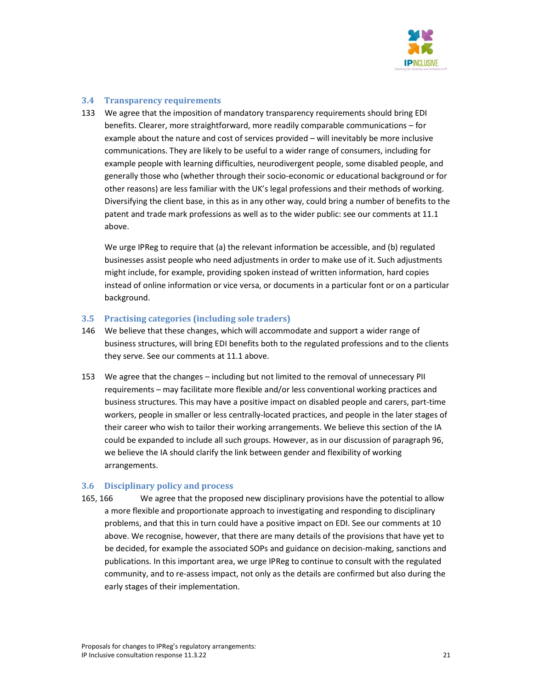

#### 3.4 Transparency requirements

133 We agree that the imposition of mandatory transparency requirements should bring EDI benefits. Clearer, more straightforward, more readily comparable communications – for example about the nature and cost of services provided – will inevitably be more inclusive communications. They are likely to be useful to a wider range of consumers, including for example people with learning difficulties, neurodivergent people, some disabled people, and generally those who (whether through their socio-economic or educational background or for other reasons) are less familiar with the UK's legal professions and their methods of working. Diversifying the client base, in this as in any other way, could bring a number of benefits to the patent and trade mark professions as well as to the wider public: see our comments at 11.1 above.

 We urge IPReg to require that (a) the relevant information be accessible, and (b) regulated businesses assist people who need adjustments in order to make use of it. Such adjustments might include, for example, providing spoken instead of written information, hard copies instead of online information or vice versa, or documents in a particular font or on a particular background.

#### 3.5 Practising categories (including sole traders)

- 146 We believe that these changes, which will accommodate and support a wider range of business structures, will bring EDI benefits both to the regulated professions and to the clients they serve. See our comments at 11.1 above.
- 153 We agree that the changes including but not limited to the removal of unnecessary PII requirements – may facilitate more flexible and/or less conventional working practices and business structures. This may have a positive impact on disabled people and carers, part-time workers, people in smaller or less centrally-located practices, and people in the later stages of their career who wish to tailor their working arrangements. We believe this section of the IA could be expanded to include all such groups. However, as in our discussion of paragraph 96, we believe the IA should clarify the link between gender and flexibility of working arrangements.

#### 3.6 Disciplinary policy and process

165, 166 We agree that the proposed new disciplinary provisions have the potential to allow a more flexible and proportionate approach to investigating and responding to disciplinary problems, and that this in turn could have a positive impact on EDI. See our comments at 10 above. We recognise, however, that there are many details of the provisions that have yet to be decided, for example the associated SOPs and guidance on decision-making, sanctions and publications. In this important area, we urge IPReg to continue to consult with the regulated community, and to re-assess impact, not only as the details are confirmed but also during the early stages of their implementation.